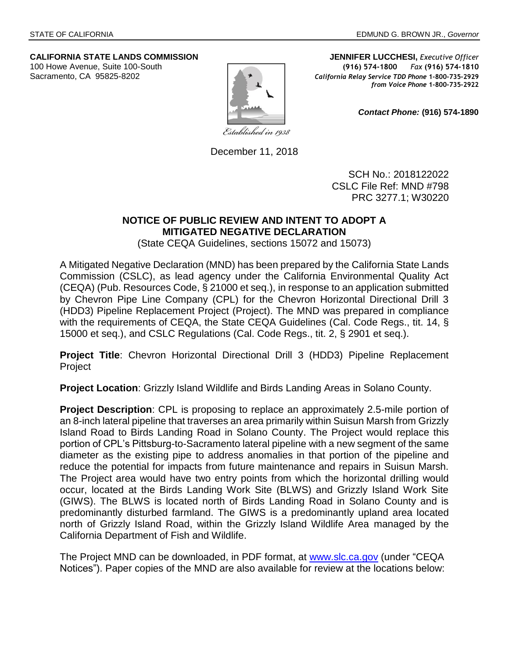

**CALIFORNIA STATE LANDS COMMISSION JENNIFER LUCCHESI,** *Executive Officer* 100 Howe Avenue, Suite 100-South **(916) 574-1800** *Fax* **(916) 574-1810** Sacramento, CA 95825-8202 **California Relay Service TDD Phone** 1-800-735-2929 *from Voice Phone* **1-800-735-2922**

*Contact Phone:* **(916) 574-1890**

December 11, 2018

SCH No.: 2018122022 CSLC File Ref: MND #798 PRC 3277.1; W30220

## **NOTICE OF PUBLIC REVIEW AND INTENT TO ADOPT A MITIGATED NEGATIVE DECLARATION**

(State CEQA Guidelines, sections 15072 and 15073)

A Mitigated Negative Declaration (MND) has been prepared by the California State Lands Commission (CSLC), as lead agency under the California Environmental Quality Act (CEQA) (Pub. Resources Code, § 21000 et seq.), in response to an application submitted by Chevron Pipe Line Company (CPL) for the Chevron Horizontal Directional Drill 3 (HDD3) Pipeline Replacement Project (Project). The MND was prepared in compliance with the requirements of CEQA, the State CEQA Guidelines (Cal. Code Regs., tit. 14, § 15000 et seq.), and CSLC Regulations (Cal. Code Regs., tit. 2, § 2901 et seq.).

**Project Title**: Chevron Horizontal Directional Drill 3 (HDD3) Pipeline Replacement Project

**Project Location**: Grizzly Island Wildlife and Birds Landing Areas in Solano County.

**Project Description**: CPL is proposing to replace an approximately 2.5-mile portion of an 8-inch lateral pipeline that traverses an area primarily within Suisun Marsh from Grizzly Island Road to Birds Landing Road in Solano County. The Project would replace this portion of CPL's Pittsburg-to-Sacramento lateral pipeline with a new segment of the same diameter as the existing pipe to address anomalies in that portion of the pipeline and reduce the potential for impacts from future maintenance and repairs in Suisun Marsh. The Project area would have two entry points from which the horizontal drilling would occur, located at the Birds Landing Work Site (BLWS) and Grizzly Island Work Site (GIWS). The BLWS is located north of Birds Landing Road in Solano County and is predominantly disturbed farmland. The GIWS is a predominantly upland area located north of Grizzly Island Road, within the Grizzly Island Wildlife Area managed by the California Department of Fish and Wildlife.

The Project MND can be downloaded, in PDF format, at [www.slc.ca.gov](http://www.slc.ca.gov/) (under "CEQA Notices"). Paper copies of the MND are also available for review at the locations below: